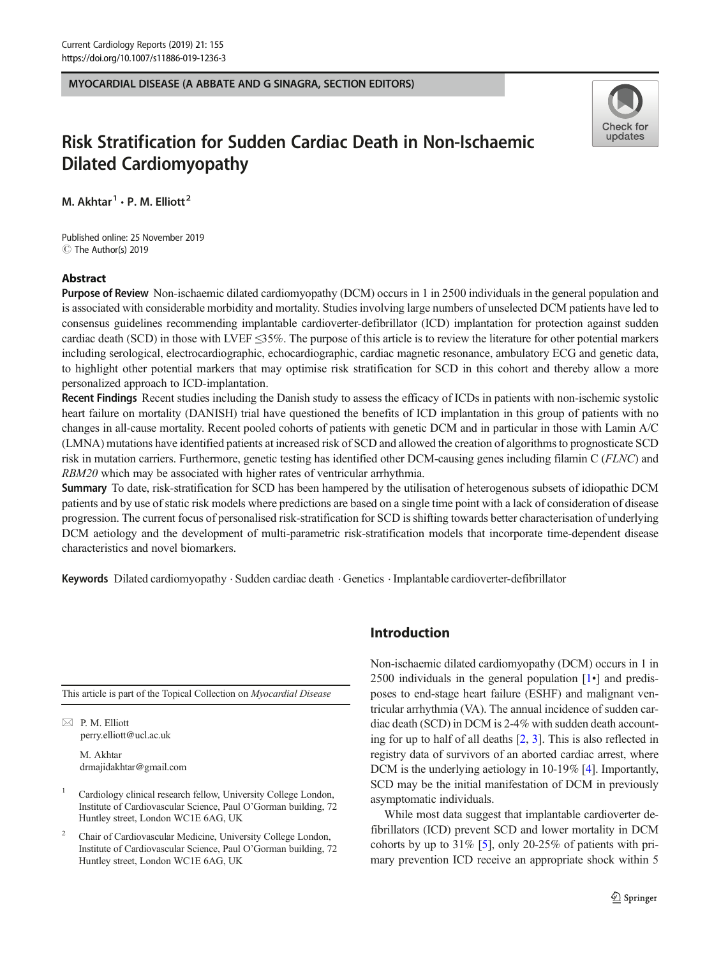## MYOCARDIAL DISEASE (A ABBATE AND G SINAGRA, SECTION EDITORS)



# Risk Stratification for Sudden Cardiac Death in Non-Ischaemic Dilated Cardiomyopathy

M. Akhtar<sup>1</sup>  $\cdot$  P. M. Flliott<sup>2</sup>

Published online: 25 November 2019  $\circledcirc$  The Author(s) 2019

## Abstract

Purpose of Review Non-ischaemic dilated cardiomyopathy (DCM) occurs in 1 in 2500 individuals in the general population and is associated with considerable morbidity and mortality. Studies involving large numbers of unselected DCM patients have led to consensus guidelines recommending implantable cardioverter-defibrillator (ICD) implantation for protection against sudden cardiac death (SCD) in those with LVEF ≤35%. The purpose of this article is to review the literature for other potential markers including serological, electrocardiographic, echocardiographic, cardiac magnetic resonance, ambulatory ECG and genetic data, to highlight other potential markers that may optimise risk stratification for SCD in this cohort and thereby allow a more personalized approach to ICD-implantation.

Recent Findings Recent studies including the Danish study to assess the efficacy of ICDs in patients with non-ischemic systolic heart failure on mortality (DANISH) trial have questioned the benefits of ICD implantation in this group of patients with no changes in all-cause mortality. Recent pooled cohorts of patients with genetic DCM and in particular in those with Lamin A/C (LMNA) mutations have identified patients at increased risk of SCD and allowed the creation of algorithms to prognosticate SCD risk in mutation carriers. Furthermore, genetic testing has identified other DCM-causing genes including filamin C (FLNC) and RBM20 which may be associated with higher rates of ventricular arrhythmia.

Summary To date, risk-stratification for SCD has been hampered by the utilisation of heterogenous subsets of idiopathic DCM patients and by use of static risk models where predictions are based on a single time point with a lack of consideration of disease progression. The current focus of personalised risk-stratification for SCD is shifting towards better characterisation of underlying DCM aetiology and the development of multi-parametric risk-stratification models that incorporate time-dependent disease characteristics and novel biomarkers.

Keywords Dilated cardiomyopathy . Sudden cardiac death . Genetics . Implantable cardioverter-defibrillator

This article is part of the Topical Collection on Myocardial Disease

 $\boxtimes$  P. M. Elliott [perry.elliott@ucl.ac.uk](mailto:perry.elliott@ucl.ac.uk)

> M. Akhtar drmajidakhtar@gmail.com

- Cardiology clinical research fellow, University College London, Institute of Cardiovascular Science, Paul O'Gorman building, 72 Huntley street, London WC1E 6AG, UK
- <sup>2</sup> Chair of Cardiovascular Medicine, University College London, Institute of Cardiovascular Science, Paul O'Gorman building, 72 Huntley street, London WC1E 6AG, UK

## Introduction

Non-ischaemic dilated cardiomyopathy (DCM) occurs in 1 in 2500 individuals in the general population [\[1](#page-5-0)•] and predisposes to end-stage heart failure (ESHF) and malignant ventricular arrhythmia (VA). The annual incidence of sudden cardiac death (SCD) in DCM is 2-4% with sudden death accounting for up to half of all deaths [[2](#page-5-0), [3\]](#page-5-0). This is also reflected in registry data of survivors of an aborted cardiac arrest, where DCM is the underlying aetiology in 10-19% [\[4\]](#page-5-0). Importantly, SCD may be the initial manifestation of DCM in previously asymptomatic individuals.

While most data suggest that implantable cardioverter defibrillators (ICD) prevent SCD and lower mortality in DCM cohorts by up to 31% [\[5](#page-5-0)], only 20-25% of patients with primary prevention ICD receive an appropriate shock within 5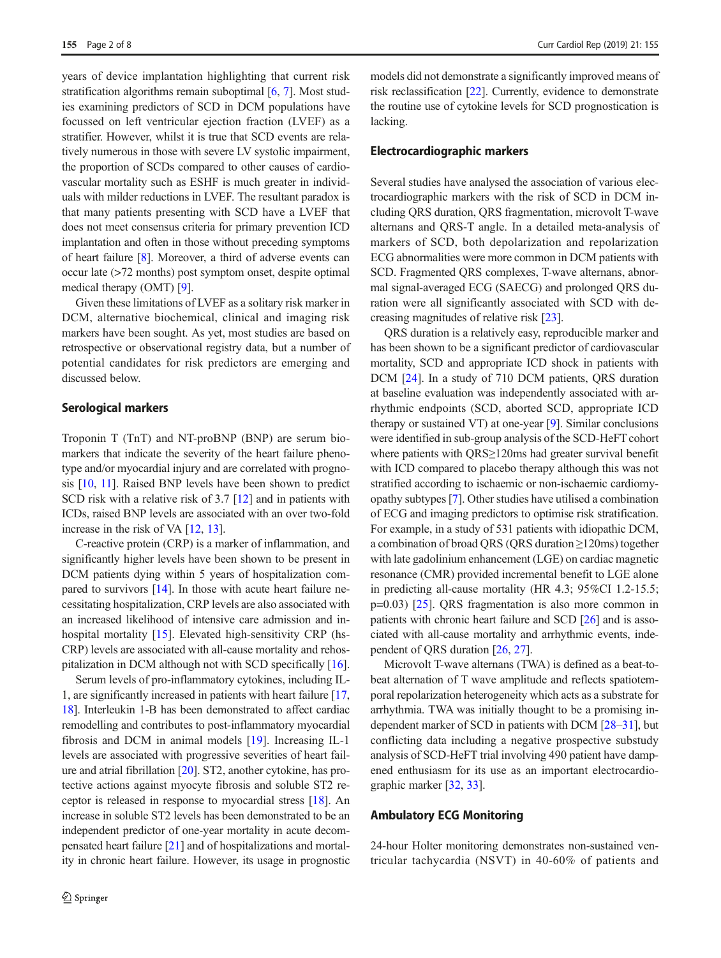years of device implantation highlighting that current risk stratification algorithms remain suboptimal [\[6,](#page-5-0) [7\]](#page-5-0). Most studies examining predictors of SCD in DCM populations have focussed on left ventricular ejection fraction (LVEF) as a stratifier. However, whilst it is true that SCD events are relatively numerous in those with severe LV systolic impairment, the proportion of SCDs compared to other causes of cardiovascular mortality such as ESHF is much greater in individuals with milder reductions in LVEF. The resultant paradox is that many patients presenting with SCD have a LVEF that does not meet consensus criteria for primary prevention ICD implantation and often in those without preceding symptoms of heart failure [\[8](#page-5-0)]. Moreover, a third of adverse events can occur late (>72 months) post symptom onset, despite optimal medical therapy (OMT) [[9\]](#page-5-0).

Given these limitations of LVEF as a solitary risk marker in DCM, alternative biochemical, clinical and imaging risk markers have been sought. As yet, most studies are based on retrospective or observational registry data, but a number of potential candidates for risk predictors are emerging and discussed below.

## Serological markers

Troponin T (TnT) and NT-proBNP (BNP) are serum biomarkers that indicate the severity of the heart failure phenotype and/or myocardial injury and are correlated with prognosis [[10](#page-5-0), [11\]](#page-5-0). Raised BNP levels have been shown to predict SCD risk with a relative risk of 3.7 [[12\]](#page-5-0) and in patients with ICDs, raised BNP levels are associated with an over two-fold increase in the risk of VA [\[12](#page-5-0), [13\]](#page-5-0).

C-reactive protein (CRP) is a marker of inflammation, and significantly higher levels have been shown to be present in DCM patients dying within 5 years of hospitalization compared to survivors [[14\]](#page-5-0). In those with acute heart failure necessitating hospitalization, CRP levels are also associated with an increased likelihood of intensive care admission and in-hospital mortality [[15\]](#page-5-0). Elevated high-sensitivity CRP (hs-CRP) levels are associated with all-cause mortality and rehospitalization in DCM although not with SCD specifically [[16\]](#page-5-0).

Serum levels of pro-inflammatory cytokines, including IL-1, are significantly increased in patients with heart failure [[17,](#page-5-0) [18\]](#page-5-0). Interleukin 1-B has been demonstrated to affect cardiac remodelling and contributes to post-inflammatory myocardial fibrosis and DCM in animal models [\[19](#page-5-0)]. Increasing IL-1 levels are associated with progressive severities of heart failure and atrial fibrillation [\[20\]](#page-5-0). ST2, another cytokine, has protective actions against myocyte fibrosis and soluble ST2 receptor is released in response to myocardial stress [\[18\]](#page-5-0). An increase in soluble ST2 levels has been demonstrated to be an independent predictor of one-year mortality in acute decompensated heart failure [\[21](#page-5-0)] and of hospitalizations and mortality in chronic heart failure. However, its usage in prognostic models did not demonstrate a significantly improved means of risk reclassification [\[22\]](#page-5-0). Currently, evidence to demonstrate the routine use of cytokine levels for SCD prognostication is lacking.

#### Electrocardiographic markers

Several studies have analysed the association of various electrocardiographic markers with the risk of SCD in DCM including QRS duration, QRS fragmentation, microvolt T-wave alternans and QRS-T angle. In a detailed meta-analysis of markers of SCD, both depolarization and repolarization ECG abnormalities were more common in DCM patients with SCD. Fragmented QRS complexes, T-wave alternans, abnormal signal-averaged ECG (SAECG) and prolonged QRS duration were all significantly associated with SCD with decreasing magnitudes of relative risk [\[23](#page-5-0)].

QRS duration is a relatively easy, reproducible marker and has been shown to be a significant predictor of cardiovascular mortality, SCD and appropriate ICD shock in patients with DCM [\[24\]](#page-5-0). In a study of 710 DCM patients, QRS duration at baseline evaluation was independently associated with arrhythmic endpoints (SCD, aborted SCD, appropriate ICD therapy or sustained VT) at one-year [[9](#page-5-0)]. Similar conclusions were identified in sub-group analysis of the SCD-HeFT cohort where patients with QRS≥120ms had greater survival benefit with ICD compared to placebo therapy although this was not stratified according to ischaemic or non-ischaemic cardiomyopathy subtypes [[7\]](#page-5-0). Other studies have utilised a combination of ECG and imaging predictors to optimise risk stratification. For example, in a study of 531 patients with idiopathic DCM, a combination of broad QRS (QRS duration ≥120ms) together with late gadolinium enhancement (LGE) on cardiac magnetic resonance (CMR) provided incremental benefit to LGE alone in predicting all-cause mortality (HR 4.3; 95%CI 1.2-15.5; p=0.03) [\[25\]](#page-5-0). QRS fragmentation is also more common in patients with chronic heart failure and SCD [\[26](#page-5-0)] and is associated with all-cause mortality and arrhythmic events, independent of QRS duration [\[26,](#page-5-0) [27\]](#page-5-0).

Microvolt T-wave alternans (TWA) is defined as a beat-tobeat alternation of T wave amplitude and reflects spatiotemporal repolarization heterogeneity which acts as a substrate for arrhythmia. TWA was initially thought to be a promising independent marker of SCD in patients with DCM [\[28](#page-5-0)–[31\]](#page-5-0), but conflicting data including a negative prospective substudy analysis of SCD-HeFT trial involving 490 patient have dampened enthusiasm for its use as an important electrocardiographic marker [[32,](#page-5-0) [33](#page-5-0)].

#### Ambulatory ECG Monitoring

24-hour Holter monitoring demonstrates non-sustained ventricular tachycardia (NSVT) in 40-60% of patients and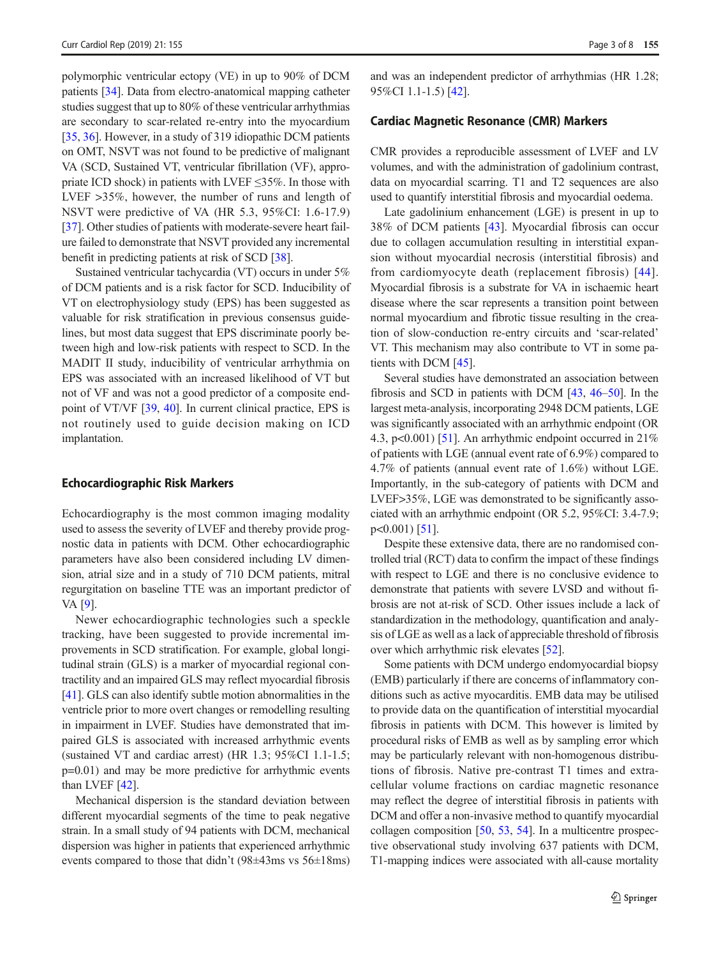polymorphic ventricular ectopy (VE) in up to 90% of DCM patients [[34\]](#page-5-0). Data from electro-anatomical mapping catheter studies suggest that up to 80% of these ventricular arrhythmias are secondary to scar-related re-entry into the myocardium [\[35,](#page-5-0) [36](#page-5-0)]. However, in a study of 319 idiopathic DCM patients on OMT, NSVT was not found to be predictive of malignant VA (SCD, Sustained VT, ventricular fibrillation (VF), appropriate ICD shock) in patients with LVEF  $\leq$ 35%. In those with LVEF >35%, however, the number of runs and length of NSVT were predictive of VA (HR 5.3, 95%CI: 1.6-17.9) [\[37\]](#page-6-0). Other studies of patients with moderate-severe heart failure failed to demonstrate that NSVT provided any incremental benefit in predicting patients at risk of SCD [\[38\]](#page-6-0).

Sustained ventricular tachycardia (VT) occurs in under 5% of DCM patients and is a risk factor for SCD. Inducibility of VT on electrophysiology study (EPS) has been suggested as valuable for risk stratification in previous consensus guidelines, but most data suggest that EPS discriminate poorly between high and low-risk patients with respect to SCD. In the MADIT II study, inducibility of ventricular arrhythmia on EPS was associated with an increased likelihood of VT but not of VF and was not a good predictor of a composite endpoint of VT/VF [[39,](#page-6-0) [40](#page-6-0)]. In current clinical practice, EPS is not routinely used to guide decision making on ICD implantation.

#### Echocardiographic Risk Markers

Echocardiography is the most common imaging modality used to assess the severity of LVEF and thereby provide prognostic data in patients with DCM. Other echocardiographic parameters have also been considered including LV dimension, atrial size and in a study of 710 DCM patients, mitral regurgitation on baseline TTE was an important predictor of VA [[9\]](#page-5-0).

Newer echocardiographic technologies such a speckle tracking, have been suggested to provide incremental improvements in SCD stratification. For example, global longitudinal strain (GLS) is a marker of myocardial regional contractility and an impaired GLS may reflect myocardial fibrosis [\[41\]](#page-6-0). GLS can also identify subtle motion abnormalities in the ventricle prior to more overt changes or remodelling resulting in impairment in LVEF. Studies have demonstrated that impaired GLS is associated with increased arrhythmic events (sustained VT and cardiac arrest) (HR 1.3; 95%CI 1.1-1.5; p=0.01) and may be more predictive for arrhythmic events than LVEF [[42](#page-6-0)].

Mechanical dispersion is the standard deviation between different myocardial segments of the time to peak negative strain. In a small study of 94 patients with DCM, mechanical dispersion was higher in patients that experienced arrhythmic events compared to those that didn't (98±43ms vs 56±18ms) and was an independent predictor of arrhythmias (HR 1.28; 95%CI 1.1-1.5) [[42\]](#page-6-0).

#### Cardiac Magnetic Resonance (CMR) Markers

CMR provides a reproducible assessment of LVEF and LV volumes, and with the administration of gadolinium contrast, data on myocardial scarring. T1 and T2 sequences are also used to quantify interstitial fibrosis and myocardial oedema.

Late gadolinium enhancement (LGE) is present in up to 38% of DCM patients [[43\]](#page-6-0). Myocardial fibrosis can occur due to collagen accumulation resulting in interstitial expansion without myocardial necrosis (interstitial fibrosis) and from cardiomyocyte death (replacement fibrosis) [[44](#page-6-0)]. Myocardial fibrosis is a substrate for VA in ischaemic heart disease where the scar represents a transition point between normal myocardium and fibrotic tissue resulting in the creation of slow-conduction re-entry circuits and 'scar-related' VT. This mechanism may also contribute to VT in some patients with DCM [[45](#page-6-0)].

Several studies have demonstrated an association between fibrosis and SCD in patients with DCM [\[43,](#page-6-0) [46](#page-6-0)–[50\]](#page-6-0). In the largest meta-analysis, incorporating 2948 DCM patients, LGE was significantly associated with an arrhythmic endpoint (OR 4.3, p<0.001) [[51\]](#page-6-0). An arrhythmic endpoint occurred in  $21\%$ of patients with LGE (annual event rate of 6.9%) compared to 4.7% of patients (annual event rate of 1.6%) without LGE. Importantly, in the sub-category of patients with DCM and LVEF>35%, LGE was demonstrated to be significantly associated with an arrhythmic endpoint (OR 5.2, 95%CI: 3.4-7.9; p<0.001) [\[51](#page-6-0)].

Despite these extensive data, there are no randomised controlled trial (RCT) data to confirm the impact of these findings with respect to LGE and there is no conclusive evidence to demonstrate that patients with severe LVSD and without fibrosis are not at-risk of SCD. Other issues include a lack of standardization in the methodology, quantification and analysis of LGE as well as a lack of appreciable threshold of fibrosis over which arrhythmic risk elevates [\[52\]](#page-6-0).

Some patients with DCM undergo endomyocardial biopsy (EMB) particularly if there are concerns of inflammatory conditions such as active myocarditis. EMB data may be utilised to provide data on the quantification of interstitial myocardial fibrosis in patients with DCM. This however is limited by procedural risks of EMB as well as by sampling error which may be particularly relevant with non-homogenous distributions of fibrosis. Native pre-contrast T1 times and extracellular volume fractions on cardiac magnetic resonance may reflect the degree of interstitial fibrosis in patients with DCM and offer a non-invasive method to quantify myocardial collagen composition [\[50,](#page-6-0) [53](#page-6-0), [54\]](#page-6-0). In a multicentre prospective observational study involving 637 patients with DCM, T1-mapping indices were associated with all-cause mortality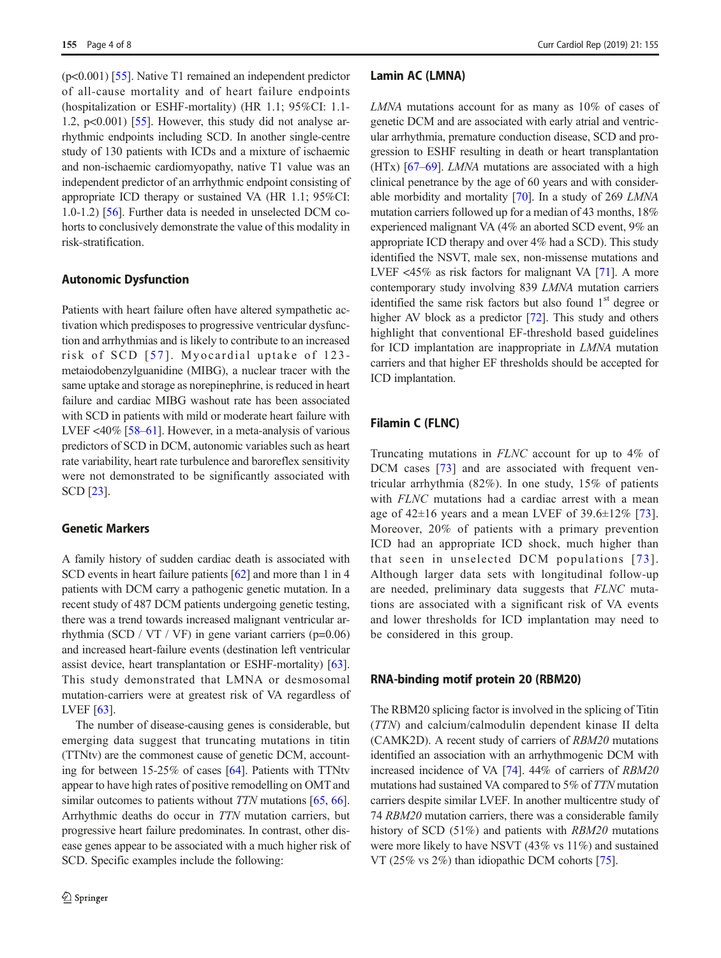(p<0.001) [\[55](#page-6-0)]. Native T1 remained an independent predictor of all-cause mortality and of heart failure endpoints (hospitalization or ESHF-mortality) (HR 1.1; 95%CI: 1.1- 1.2,  $p<0.001$  [[55](#page-6-0)]. However, this study did not analyse arrhythmic endpoints including SCD. In another single-centre study of 130 patients with ICDs and a mixture of ischaemic and non-ischaemic cardiomyopathy, native T1 value was an independent predictor of an arrhythmic endpoint consisting of appropriate ICD therapy or sustained VA (HR 1.1; 95%CI: 1.0-1.2) [[56\]](#page-6-0). Further data is needed in unselected DCM cohorts to conclusively demonstrate the value of this modality in risk-stratification.

#### Autonomic Dysfunction

Patients with heart failure often have altered sympathetic activation which predisposes to progressive ventricular dysfunction and arrhythmias and is likely to contribute to an increased risk of SCD [57]. Myocardial uptake of 123metaiodobenzylguanidine (MIBG), a nuclear tracer with the same uptake and storage as norepinephrine, is reduced in heart failure and cardiac MIBG washout rate has been associated with SCD in patients with mild or moderate heart failure with LVEF <40% [[58](#page-6-0)–[61](#page-6-0)]. However, in a meta-analysis of various predictors of SCD in DCM, autonomic variables such as heart rate variability, heart rate turbulence and baroreflex sensitivity were not demonstrated to be significantly associated with SCD [[23\]](#page-5-0).

## Genetic Markers

A family history of sudden cardiac death is associated with SCD events in heart failure patients [[62\]](#page-6-0) and more than 1 in 4 patients with DCM carry a pathogenic genetic mutation. In a recent study of 487 DCM patients undergoing genetic testing, there was a trend towards increased malignant ventricular arrhythmia (SCD / VT / VF) in gene variant carriers  $(p=0.06)$ and increased heart-failure events (destination left ventricular assist device, heart transplantation or ESHF-mortality) [[63\]](#page-6-0). This study demonstrated that LMNA or desmosomal mutation-carriers were at greatest risk of VA regardless of LVEF [\[63](#page-6-0)].

The number of disease-causing genes is considerable, but emerging data suggest that truncating mutations in titin (TTNtv) are the commonest cause of genetic DCM, accounting for between 15-25% of cases [[64](#page-6-0)]. Patients with TTNtv appear to have high rates of positive remodelling on OMT and similar outcomes to patients without TTN mutations [[65,](#page-6-0) [66\]](#page-6-0). Arrhythmic deaths do occur in TTN mutation carriers, but progressive heart failure predominates. In contrast, other disease genes appear to be associated with a much higher risk of SCD. Specific examples include the following:

#### Lamin AC (LMNA)

LMNA mutations account for as many as 10% of cases of genetic DCM and are associated with early atrial and ventricular arrhythmia, premature conduction disease, SCD and progression to ESHF resulting in death or heart transplantation (HTx) [[67](#page-6-0)–[69](#page-6-0)]. LMNA mutations are associated with a high clinical penetrance by the age of 60 years and with considerable morbidity and mortality [\[70](#page-6-0)]. In a study of 269 LMNA mutation carriers followed up for a median of 43 months, 18% experienced malignant VA (4% an aborted SCD event, 9% an appropriate ICD therapy and over 4% had a SCD). This study identified the NSVT, male sex, non-missense mutations and LVEF <45% as risk factors for malignant VA [\[71\]](#page-6-0). A more contemporary study involving 839 LMNA mutation carriers identified the same risk factors but also found  $1<sup>st</sup>$  degree or higher AV block as a predictor [[72\]](#page-6-0). This study and others highlight that conventional EF-threshold based guidelines for ICD implantation are inappropriate in LMNA mutation carriers and that higher EF thresholds should be accepted for ICD implantation.

## Filamin C (FLNC)

Truncating mutations in FLNC account for up to 4% of DCM cases [[73\]](#page-6-0) and are associated with frequent ventricular arrhythmia (82%). In one study, 15% of patients with FLNC mutations had a cardiac arrest with a mean age of  $42\pm16$  years and a mean LVEF of  $39.6\pm12\%$  [\[73](#page-6-0)]. Moreover, 20% of patients with a primary prevention ICD had an appropriate ICD shock, much higher than that seen in unselected DCM populations [[73\]](#page-6-0). Although larger data sets with longitudinal follow-up are needed, preliminary data suggests that FLNC mutations are associated with a significant risk of VA events and lower thresholds for ICD implantation may need to be considered in this group.

#### RNA-binding motif protein 20 (RBM20)

The RBM20 splicing factor is involved in the splicing of Titin (TTN) and calcium/calmodulin dependent kinase II delta (CAMK2D). A recent study of carriers of RBM20 mutations identified an association with an arrhythmogenic DCM with increased incidence of VA [\[74\]](#page-6-0). 44% of carriers of RBM20 mutations had sustained VA compared to 5% of TTN mutation carriers despite similar LVEF. In another multicentre study of 74 RBM20 mutation carriers, there was a considerable family history of SCD (51%) and patients with RBM20 mutations were more likely to have NSVT (43% vs 11%) and sustained VT (25% vs 2%) than idiopathic DCM cohorts [[75](#page-6-0)].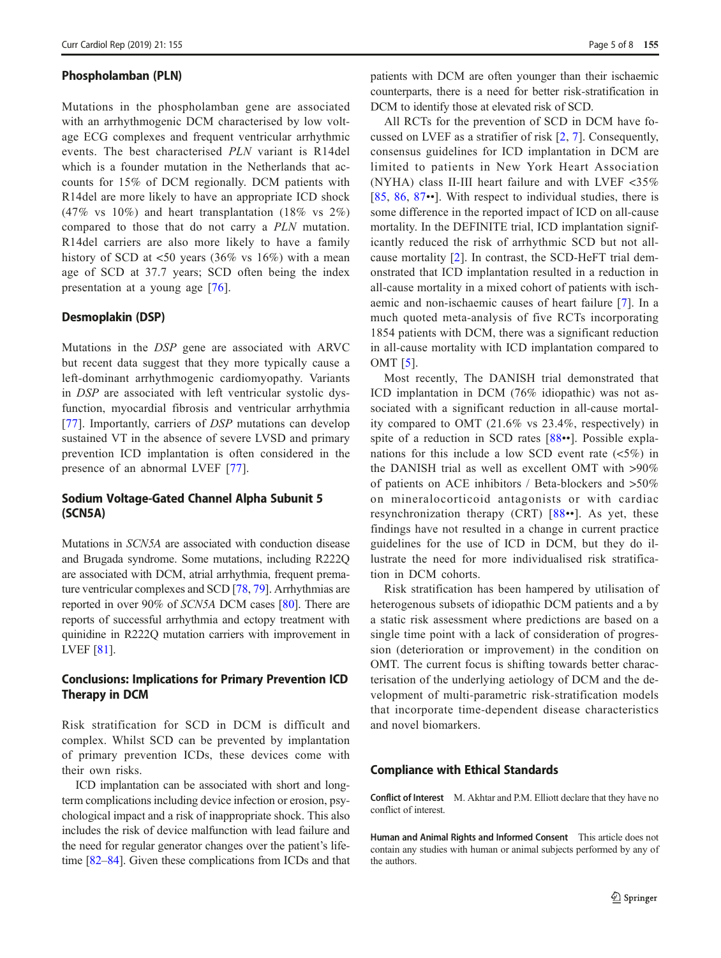#### Phospholamban (PLN)

Mutations in the phospholamban gene are associated with an arrhythmogenic DCM characterised by low voltage ECG complexes and frequent ventricular arrhythmic events. The best characterised PLN variant is R14del which is a founder mutation in the Netherlands that accounts for 15% of DCM regionally. DCM patients with R14del are more likely to have an appropriate ICD shock (47% vs 10%) and heart transplantation (18% vs 2%) compared to those that do not carry a PLN mutation. R14del carriers are also more likely to have a family history of SCD at <50 years (36% vs 16%) with a mean age of SCD at 37.7 years; SCD often being the index presentation at a young age [[76](#page-6-0)].

## Desmoplakin (DSP)

Mutations in the DSP gene are associated with ARVC but recent data suggest that they more typically cause a left-dominant arrhythmogenic cardiomyopathy. Variants in DSP are associated with left ventricular systolic dysfunction, myocardial fibrosis and ventricular arrhythmia [\[77\]](#page-7-0). Importantly, carriers of *DSP* mutations can develop sustained VT in the absence of severe LVSD and primary prevention ICD implantation is often considered in the presence of an abnormal LVEF [[77](#page-7-0)].

## Sodium Voltage-Gated Channel Alpha Subunit 5 (SCN5A)

Mutations in SCN5A are associated with conduction disease and Brugada syndrome. Some mutations, including R222Q are associated with DCM, atrial arrhythmia, frequent premature ventricular complexes and SCD [\[78,](#page-7-0) [79](#page-7-0)]. Arrhythmias are reported in over 90% of SCN5A DCM cases [\[80](#page-7-0)]. There are reports of successful arrhythmia and ectopy treatment with quinidine in R222Q mutation carriers with improvement in LVEF [\[81](#page-7-0)].

## Conclusions: Implications for Primary Prevention ICD Therapy in DCM

Risk stratification for SCD in DCM is difficult and complex. Whilst SCD can be prevented by implantation of primary prevention ICDs, these devices come with their own risks.

ICD implantation can be associated with short and longterm complications including device infection or erosion, psychological impact and a risk of inappropriate shock. This also includes the risk of device malfunction with lead failure and the need for regular generator changes over the patient's lifetime [\[82](#page-7-0)–[84](#page-7-0)]. Given these complications from ICDs and that

patients with DCM are often younger than their ischaemic counterparts, there is a need for better risk-stratification in DCM to identify those at elevated risk of SCD.

All RCTs for the prevention of SCD in DCM have focussed on LVEF as a stratifier of risk [[2,](#page-5-0) [7](#page-5-0)]. Consequently, consensus guidelines for ICD implantation in DCM are limited to patients in New York Heart Association (NYHA) class II-III heart failure and with LVEF <35% [\[85,](#page-7-0) [86,](#page-7-0) [87](#page-7-0)••]. With respect to individual studies, there is some difference in the reported impact of ICD on all-cause mortality. In the DEFINITE trial, ICD implantation significantly reduced the risk of arrhythmic SCD but not allcause mortality [\[2](#page-5-0)]. In contrast, the SCD-HeFT trial demonstrated that ICD implantation resulted in a reduction in all-cause mortality in a mixed cohort of patients with ischaemic and non-ischaemic causes of heart failure [\[7](#page-5-0)]. In a much quoted meta-analysis of five RCTs incorporating 1854 patients with DCM, there was a significant reduction in all-cause mortality with ICD implantation compared to OMT [[5\]](#page-5-0).

Most recently, The DANISH trial demonstrated that ICD implantation in DCM (76% idiopathic) was not associated with a significant reduction in all-cause mortality compared to OMT (21.6% vs 23.4%, respectively) in spite of a reduction in SCD rates [\[88](#page-7-0)••]. Possible explanations for this include a low SCD event rate  $\langle \langle 5\% \rangle$  in the DANISH trial as well as excellent OMT with >90% of patients on ACE inhibitors / Beta-blockers and >50% on mineralocorticoid antagonists or with cardiac resynchronization therapy (CRT) [[88](#page-7-0)••]. As yet, these findings have not resulted in a change in current practice guidelines for the use of ICD in DCM, but they do illustrate the need for more individualised risk stratification in DCM cohorts.

Risk stratification has been hampered by utilisation of heterogenous subsets of idiopathic DCM patients and a by a static risk assessment where predictions are based on a single time point with a lack of consideration of progression (deterioration or improvement) in the condition on OMT. The current focus is shifting towards better characterisation of the underlying aetiology of DCM and the development of multi-parametric risk-stratification models that incorporate time-dependent disease characteristics and novel biomarkers.

#### Compliance with Ethical Standards

Conflict of Interest M. Akhtar and P.M. Elliott declare that they have no conflict of interest.

Human and Animal Rights and Informed Consent This article does not contain any studies with human or animal subjects performed by any of the authors.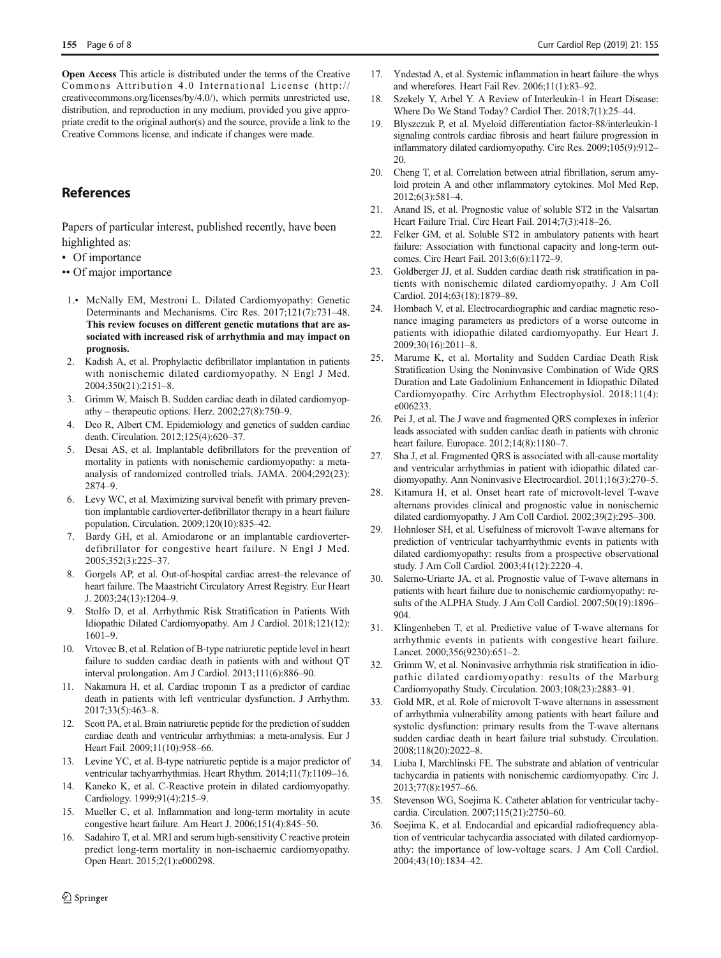<span id="page-5-0"></span>Open Access This article is distributed under the terms of the Creative Commons Attribution 4.0 International License (http:// creativecommons.org/licenses/by/4.0/), which permits unrestricted use, distribution, and reproduction in any medium, provided you give appropriate credit to the original author(s) and the source, provide a link to the Creative Commons license, and indicate if changes were made.

# **References**

Papers of particular interest, published recently, have been highlighted as:

- Of importance
- •• Of major importance
- 1.• McNally EM, Mestroni L. Dilated Cardiomyopathy: Genetic Determinants and Mechanisms. Circ Res. 2017;121(7):731–48. This review focuses on different genetic mutations that are associated with increased risk of arrhythmia and may impact on prognosis.
- 2. Kadish A, et al. Prophylactic defibrillator implantation in patients with nonischemic dilated cardiomyopathy. N Engl J Med. 2004;350(21):2151–8.
- 3. Grimm W, Maisch B. Sudden cardiac death in dilated cardiomyopathy – therapeutic options. Herz. 2002;27(8):750–9.
- 4. Deo R, Albert CM. Epidemiology and genetics of sudden cardiac death. Circulation. 2012;125(4):620–37.
- 5. Desai AS, et al. Implantable defibrillators for the prevention of mortality in patients with nonischemic cardiomyopathy: a metaanalysis of randomized controlled trials. JAMA. 2004;292(23): 2874–9.
- 6. Levy WC, et al. Maximizing survival benefit with primary prevention implantable cardioverter-defibrillator therapy in a heart failure population. Circulation. 2009;120(10):835–42.
- 7. Bardy GH, et al. Amiodarone or an implantable cardioverterdefibrillator for congestive heart failure. N Engl J Med. 2005;352(3):225–37.
- 8. Gorgels AP, et al. Out-of-hospital cardiac arrest–the relevance of heart failure. The Maastricht Circulatory Arrest Registry. Eur Heart J. 2003;24(13):1204–9.
- 9. Stolfo D, et al. Arrhythmic Risk Stratification in Patients With Idiopathic Dilated Cardiomyopathy. Am J Cardiol. 2018;121(12): 1601–9.
- 10. Vrtovec B, et al. Relation of B-type natriuretic peptide level in heart failure to sudden cardiac death in patients with and without QT interval prolongation. Am J Cardiol. 2013;111(6):886–90.
- 11. Nakamura H, et al. Cardiac troponin T as a predictor of cardiac death in patients with left ventricular dysfunction. J Arrhythm. 2017;33(5):463–8.
- 12. Scott PA, et al. Brain natriuretic peptide for the prediction of sudden cardiac death and ventricular arrhythmias: a meta-analysis. Eur J Heart Fail. 2009;11(10):958–66.
- 13. Levine YC, et al. B-type natriuretic peptide is a major predictor of ventricular tachyarrhythmias. Heart Rhythm. 2014;11(7):1109–16.
- 14. Kaneko K, et al. C-Reactive protein in dilated cardiomyopathy. Cardiology. 1999;91(4):215–9.
- 15. Mueller C, et al. Inflammation and long-term mortality in acute congestive heart failure. Am Heart J. 2006;151(4):845–50.
- 16. Sadahiro T, et al. MRI and serum high-sensitivity C reactive protein predict long-term mortality in non-ischaemic cardiomyopathy. Open Heart. 2015;2(1):e000298.
- 17. Yndestad A, et al. Systemic inflammation in heart failure–the whys and wherefores. Heart Fail Rev. 2006;11(1):83–92.
- 18. Szekely Y, Arbel Y. A Review of Interleukin-1 in Heart Disease: Where Do We Stand Today? Cardiol Ther. 2018;7(1):25–44.
- 19. Blyszczuk P, et al. Myeloid differentiation factor-88/interleukin-1 signaling controls cardiac fibrosis and heart failure progression in inflammatory dilated cardiomyopathy. Circ Res. 2009;105(9):912– 20.
- 20. Cheng T, et al. Correlation between atrial fibrillation, serum amyloid protein A and other inflammatory cytokines. Mol Med Rep. 2012;6(3):581–4.
- 21. Anand IS, et al. Prognostic value of soluble ST2 in the Valsartan Heart Failure Trial. Circ Heart Fail. 2014;7(3):418–26.
- 22. Felker GM, et al. Soluble ST2 in ambulatory patients with heart failure: Association with functional capacity and long-term outcomes. Circ Heart Fail. 2013;6(6):1172–9.
- 23. Goldberger JJ, et al. Sudden cardiac death risk stratification in patients with nonischemic dilated cardiomyopathy. J Am Coll Cardiol. 2014;63(18):1879–89.
- 24. Hombach V, et al. Electrocardiographic and cardiac magnetic resonance imaging parameters as predictors of a worse outcome in patients with idiopathic dilated cardiomyopathy. Eur Heart J. 2009;30(16):2011–8.
- 25. Marume K, et al. Mortality and Sudden Cardiac Death Risk Stratification Using the Noninvasive Combination of Wide QRS Duration and Late Gadolinium Enhancement in Idiopathic Dilated Cardiomyopathy. Circ Arrhythm Electrophysiol. 2018;11(4): e006233.
- 26. Pei J, et al. The J wave and fragmented QRS complexes in inferior leads associated with sudden cardiac death in patients with chronic heart failure. Europace. 2012;14(8):1180–7.
- 27. Sha J, et al. Fragmented QRS is associated with all-cause mortality and ventricular arrhythmias in patient with idiopathic dilated cardiomyopathy. Ann Noninvasive Electrocardiol. 2011;16(3):270–5.
- 28. Kitamura H, et al. Onset heart rate of microvolt-level T-wave alternans provides clinical and prognostic value in nonischemic dilated cardiomyopathy. J Am Coll Cardiol. 2002;39(2):295–300.
- Hohnloser SH, et al. Usefulness of microvolt T-wave alternans for prediction of ventricular tachyarrhythmic events in patients with dilated cardiomyopathy: results from a prospective observational study. J Am Coll Cardiol. 2003;41(12):2220–4.
- 30. Salerno-Uriarte JA, et al. Prognostic value of T-wave alternans in patients with heart failure due to nonischemic cardiomyopathy: results of the ALPHA Study. J Am Coll Cardiol. 2007;50(19):1896– 904.
- 31. Klingenheben T, et al. Predictive value of T-wave alternans for arrhythmic events in patients with congestive heart failure. Lancet. 2000;356(9230):651–2.
- 32. Grimm W, et al. Noninvasive arrhythmia risk stratification in idiopathic dilated cardiomyopathy: results of the Marburg Cardiomyopathy Study. Circulation. 2003;108(23):2883–91.
- 33. Gold MR, et al. Role of microvolt T-wave alternans in assessment of arrhythmia vulnerability among patients with heart failure and systolic dysfunction: primary results from the T-wave alternans sudden cardiac death in heart failure trial substudy. Circulation. 2008;118(20):2022–8.
- 34. Liuba I, Marchlinski FE. The substrate and ablation of ventricular tachycardia in patients with nonischemic cardiomyopathy. Circ J. 2013;77(8):1957–66.
- 35. Stevenson WG, Soejima K. Catheter ablation for ventricular tachycardia. Circulation. 2007;115(21):2750–60.
- 36. Soejima K, et al. Endocardial and epicardial radiofrequency ablation of ventricular tachycardia associated with dilated cardiomyopathy: the importance of low-voltage scars. J Am Coll Cardiol. 2004;43(10):1834–42.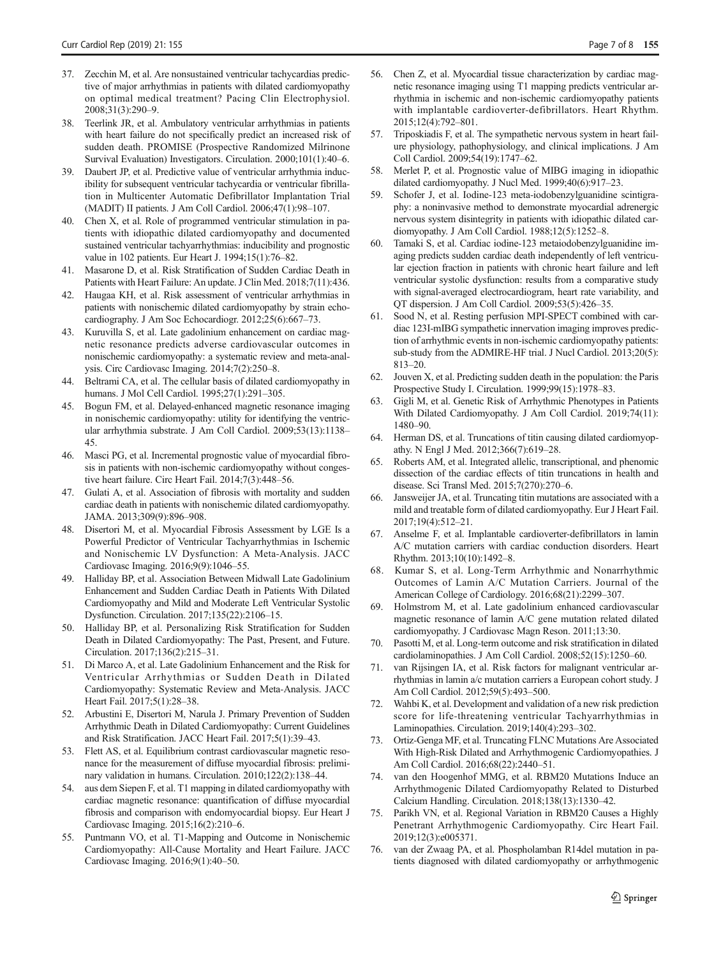- <span id="page-6-0"></span>37. Zecchin M, et al. Are nonsustained ventricular tachycardias predictive of major arrhythmias in patients with dilated cardiomyopathy on optimal medical treatment? Pacing Clin Electrophysiol. 2008;31(3):290–9.
- 38. Teerlink JR, et al. Ambulatory ventricular arrhythmias in patients with heart failure do not specifically predict an increased risk of sudden death. PROMISE (Prospective Randomized Milrinone Survival Evaluation) Investigators. Circulation. 2000;101(1):40–6.
- Daubert JP, et al. Predictive value of ventricular arrhythmia inducibility for subsequent ventricular tachycardia or ventricular fibrillation in Multicenter Automatic Defibrillator Implantation Trial (MADIT) II patients. J Am Coll Cardiol. 2006;47(1):98–107.
- 40. Chen X, et al. Role of programmed ventricular stimulation in patients with idiopathic dilated cardiomyopathy and documented sustained ventricular tachyarrhythmias: inducibility and prognostic value in 102 patients. Eur Heart J. 1994;15(1):76–82.
- 41. Masarone D, et al. Risk Stratification of Sudden Cardiac Death in Patients with Heart Failure: An update. J Clin Med. 2018;7(11):436.
- 42. Haugaa KH, et al. Risk assessment of ventricular arrhythmias in patients with nonischemic dilated cardiomyopathy by strain echocardiography. J Am Soc Echocardiogr. 2012;25(6):667–73.
- 43. Kuruvilla S, et al. Late gadolinium enhancement on cardiac magnetic resonance predicts adverse cardiovascular outcomes in nonischemic cardiomyopathy: a systematic review and meta-analysis. Circ Cardiovasc Imaging. 2014;7(2):250–8.
- 44. Beltrami CA, et al. The cellular basis of dilated cardiomyopathy in humans. J Mol Cell Cardiol. 1995;27(1):291–305.
- 45. Bogun FM, et al. Delayed-enhanced magnetic resonance imaging in nonischemic cardiomyopathy: utility for identifying the ventricular arrhythmia substrate. J Am Coll Cardiol. 2009;53(13):1138– 45.
- 46. Masci PG, et al. Incremental prognostic value of myocardial fibrosis in patients with non-ischemic cardiomyopathy without congestive heart failure. Circ Heart Fail. 2014;7(3):448–56.
- 47. Gulati A, et al. Association of fibrosis with mortality and sudden cardiac death in patients with nonischemic dilated cardiomyopathy. JAMA. 2013;309(9):896–908.
- Disertori M, et al. Myocardial Fibrosis Assessment by LGE Is a Powerful Predictor of Ventricular Tachyarrhythmias in Ischemic and Nonischemic LV Dysfunction: A Meta-Analysis. JACC Cardiovasc Imaging. 2016;9(9):1046–55.
- 49. Halliday BP, et al. Association Between Midwall Late Gadolinium Enhancement and Sudden Cardiac Death in Patients With Dilated Cardiomyopathy and Mild and Moderate Left Ventricular Systolic Dysfunction. Circulation. 2017;135(22):2106–15.
- 50. Halliday BP, et al. Personalizing Risk Stratification for Sudden Death in Dilated Cardiomyopathy: The Past, Present, and Future. Circulation. 2017;136(2):215–31.
- 51. Di Marco A, et al. Late Gadolinium Enhancement and the Risk for Ventricular Arrhythmias or Sudden Death in Dilated Cardiomyopathy: Systematic Review and Meta-Analysis. JACC Heart Fail. 2017;5(1):28–38.
- 52. Arbustini E, Disertori M, Narula J. Primary Prevention of Sudden Arrhythmic Death in Dilated Cardiomyopathy: Current Guidelines and Risk Stratification. JACC Heart Fail. 2017;5(1):39–43.
- 53. Flett AS, et al. Equilibrium contrast cardiovascular magnetic resonance for the measurement of diffuse myocardial fibrosis: preliminary validation in humans. Circulation. 2010;122(2):138–44.
- 54. aus dem Siepen F, et al. T1 mapping in dilated cardiomyopathy with cardiac magnetic resonance: quantification of diffuse myocardial fibrosis and comparison with endomyocardial biopsy. Eur Heart J Cardiovasc Imaging. 2015;16(2):210–6.
- 55. Puntmann VO, et al. T1-Mapping and Outcome in Nonischemic Cardiomyopathy: All-Cause Mortality and Heart Failure. JACC Cardiovasc Imaging. 2016;9(1):40–50.
- 56. Chen Z, et al. Myocardial tissue characterization by cardiac magnetic resonance imaging using T1 mapping predicts ventricular arrhythmia in ischemic and non-ischemic cardiomyopathy patients with implantable cardioverter-defibrillators. Heart Rhythm. 2015;12(4):792–801.
- 57. Triposkiadis F, et al. The sympathetic nervous system in heart failure physiology, pathophysiology, and clinical implications. J Am Coll Cardiol. 2009;54(19):1747–62.
- Merlet P, et al. Prognostic value of MIBG imaging in idiopathic dilated cardiomyopathy. J Nucl Med. 1999;40(6):917–23.
- 59. Schofer J, et al. Iodine-123 meta-iodobenzylguanidine scintigraphy: a noninvasive method to demonstrate myocardial adrenergic nervous system disintegrity in patients with idiopathic dilated cardiomyopathy. J Am Coll Cardiol. 1988;12(5):1252–8.
- 60. Tamaki S, et al. Cardiac iodine-123 metaiodobenzylguanidine imaging predicts sudden cardiac death independently of left ventricular ejection fraction in patients with chronic heart failure and left ventricular systolic dysfunction: results from a comparative study with signal-averaged electrocardiogram, heart rate variability, and QT dispersion. J Am Coll Cardiol. 2009;53(5):426–35.
- 61. Sood N, et al. Resting perfusion MPI-SPECT combined with cardiac 123I-mIBG sympathetic innervation imaging improves prediction of arrhythmic events in non-ischemic cardiomyopathy patients: sub-study from the ADMIRE-HF trial. J Nucl Cardiol. 2013;20(5): 813–20.
- 62. Jouven X, et al. Predicting sudden death in the population: the Paris Prospective Study I. Circulation. 1999;99(15):1978–83.
- 63. Gigli M, et al. Genetic Risk of Arrhythmic Phenotypes in Patients With Dilated Cardiomyopathy. J Am Coll Cardiol. 2019;74(11): 1480–90.
- 64. Herman DS, et al. Truncations of titin causing dilated cardiomyopathy. N Engl J Med. 2012;366(7):619–28.
- 65. Roberts AM, et al. Integrated allelic, transcriptional, and phenomic dissection of the cardiac effects of titin truncations in health and disease. Sci Transl Med. 2015;7(270):270–6.
- 66. Jansweijer JA, et al. Truncating titin mutations are associated with a mild and treatable form of dilated cardiomyopathy. Eur J Heart Fail. 2017;19(4):512–21.
- 67. Anselme F, et al. Implantable cardioverter-defibrillators in lamin A/C mutation carriers with cardiac conduction disorders. Heart Rhythm. 2013;10(10):1492–8.
- 68. Kumar S, et al. Long-Term Arrhythmic and Nonarrhythmic Outcomes of Lamin A/C Mutation Carriers. Journal of the American College of Cardiology. 2016;68(21):2299–307.
- 69. Holmstrom M, et al. Late gadolinium enhanced cardiovascular magnetic resonance of lamin A/C gene mutation related dilated cardiomyopathy. J Cardiovasc Magn Reson. 2011;13:30.
- 70. Pasotti M, et al. Long-term outcome and risk stratification in dilated cardiolaminopathies. J Am Coll Cardiol. 2008;52(15):1250–60.
- 71. van Rijsingen IA, et al. Risk factors for malignant ventricular arrhythmias in lamin a/c mutation carriers a European cohort study. J Am Coll Cardiol. 2012;59(5):493–500.
- 72. Wahbi K, et al. Development and validation of a new risk prediction score for life-threatening ventricular Tachyarrhythmias in Laminopathies. Circulation. 2019;140(4):293–302.
- 73. Ortiz-Genga MF, et al. Truncating FLNC Mutations Are Associated With High-Risk Dilated and Arrhythmogenic Cardiomyopathies. J Am Coll Cardiol. 2016;68(22):2440–51.
- 74. van den Hoogenhof MMG, et al. RBM20 Mutations Induce an Arrhythmogenic Dilated Cardiomyopathy Related to Disturbed Calcium Handling. Circulation. 2018;138(13):1330–42.
- 75. Parikh VN, et al. Regional Variation in RBM20 Causes a Highly Penetrant Arrhythmogenic Cardiomyopathy. Circ Heart Fail. 2019;12(3):e005371.
- 76. van der Zwaag PA, et al. Phospholamban R14del mutation in patients diagnosed with dilated cardiomyopathy or arrhythmogenic